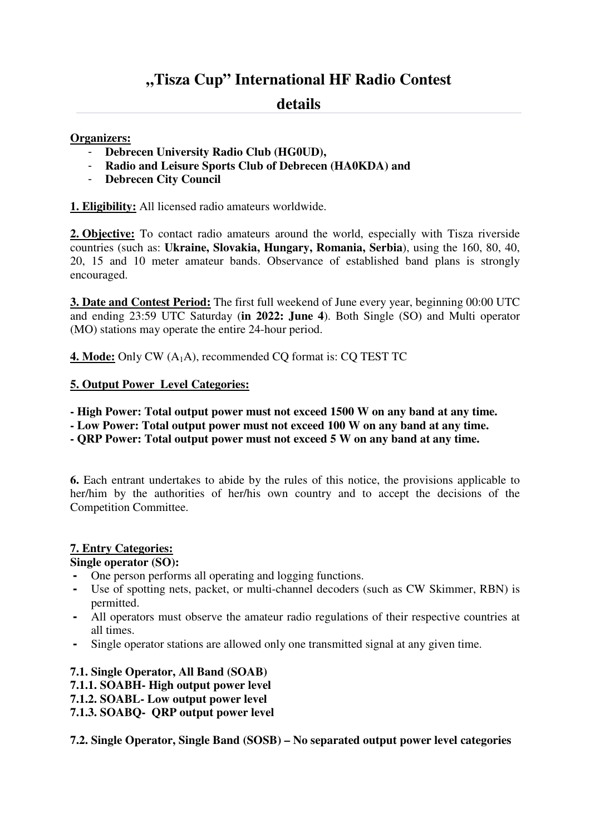# **"Tisza Cup" International HF Radio Contest**

## **details**

## **Organizers:**

- **Debrecen University Radio Club (HG0UD),**
- **Radio and Leisure Sports Club of Debrecen (HA0KDA) and**
- **Debrecen City Council**

**1. Eligibility:** All licensed radio amateurs worldwide.

**2. Objective:** To contact radio amateurs around the world, especially with Tisza riverside countries (such as: **Ukraine, Slovakia, Hungary, Romania, Serbia**), using the 160, 80, 40, 20, 15 and 10 meter amateur bands. Observance of established band plans is strongly encouraged.

**3. Date and Contest Period:** The first full weekend of June every year, beginning 00:00 UTC and ending 23:59 UTC Saturday (**in 2022: June 4**). Both Single (SO) and Multi operator (MO) stations may operate the entire 24-hour period.

**4. Mode:** Only CW (A<sub>1</sub>A), recommended CQ format is: CQ TEST TC

## **5. Output Power Level Categories:**

**- High Power: Total output power must not exceed 1500 W on any band at any time.** 

**- Low Power: Total output power must not exceed 100 W on any band at any time.** 

**- QRP Power: Total output power must not exceed 5 W on any band at any time.** 

**6.** Each entrant undertakes to abide by the rules of this notice, the provisions applicable to her/him by the authorities of her/his own country and to accept the decisions of the Competition Committee.

#### **7. Entry Categories:**

#### **Single operator (SO):**

- One person performs all operating and logging functions.
- Use of spotting nets, packet, or multi-channel decoders (such as CW Skimmer, RBN) is permitted.
- All operators must observe the amateur radio regulations of their respective countries at all times.
- Single operator stations are allowed only one transmitted signal at any given time.

**7.1. Single Operator, All Band (SOAB) 7.1.1. SOABH- High output power level 7.1.2. SOABL- Low output power level 7.1.3. SOABQ- QRP output power level** 

**7.2. Single Operator, Single Band (SOSB) – No separated output power level categories**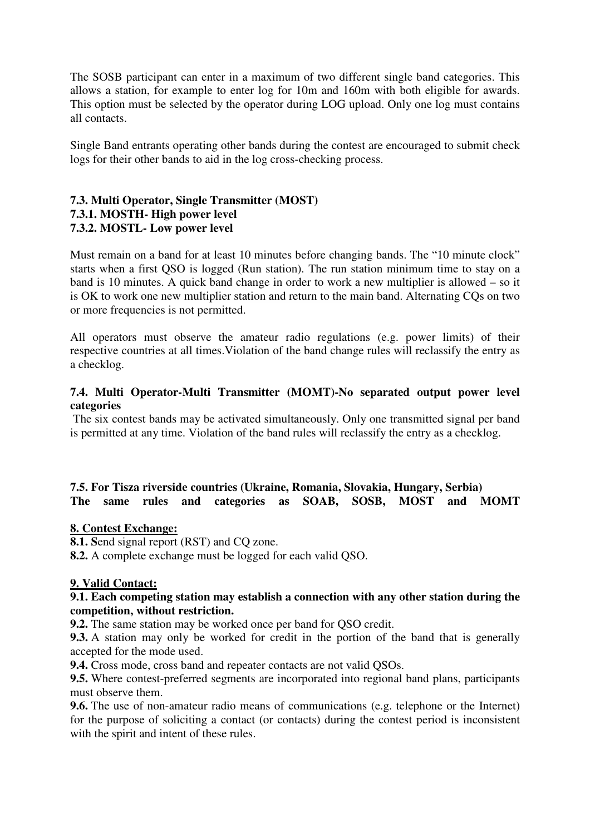The SOSB participant can enter in a maximum of two different single band categories. This allows a station, for example to enter log for 10m and 160m with both eligible for awards. This option must be selected by the operator during LOG upload. Only one log must contains all contacts.

Single Band entrants operating other bands during the contest are encouraged to submit check logs for their other bands to aid in the log cross-checking process.

## **7.3. Multi Operator, Single Transmitter (MOST) 7.3.1. MOSTH- High power level 7.3.2. MOSTL- Low power level**

Must remain on a band for at least 10 minutes before changing bands. The "10 minute clock" starts when a first QSO is logged (Run station). The run station minimum time to stay on a band is 10 minutes. A quick band change in order to work a new multiplier is allowed – so it is OK to work one new multiplier station and return to the main band. Alternating CQs on two or more frequencies is not permitted.

All operators must observe the amateur radio regulations (e.g. power limits) of their respective countries at all times.Violation of the band change rules will reclassify the entry as a checklog.

## **7.4. Multi Operator-Multi Transmitter (MOMT)-No separated output power level categories**

 The six contest bands may be activated simultaneously. Only one transmitted signal per band is permitted at any time. Violation of the band rules will reclassify the entry as a checklog.

#### **7.5. For Tisza riverside countries (Ukraine, Romania, Slovakia, Hungary, Serbia) The same rules and categories as SOAB, SOSB, MOST and MOMT**

#### **8. Contest Exchange:**

**8.1. S**end signal report (RST) and CQ zone.

**8.2.** A complete exchange must be logged for each valid QSO.

#### **9. Valid Contact:**

#### **9.1. Each competing station may establish a connection with any other station during the competition, without restriction.**

**9.2.** The same station may be worked once per band for QSO credit.

**9.3.** A station may only be worked for credit in the portion of the band that is generally accepted for the mode used.

**9.4.** Cross mode, cross band and repeater contacts are not valid QSOs.

**9.5.** Where contest-preferred segments are incorporated into regional band plans, participants must observe them.

**9.6.** The use of non-amateur radio means of communications (e.g. telephone or the Internet) for the purpose of soliciting a contact (or contacts) during the contest period is inconsistent with the spirit and intent of these rules.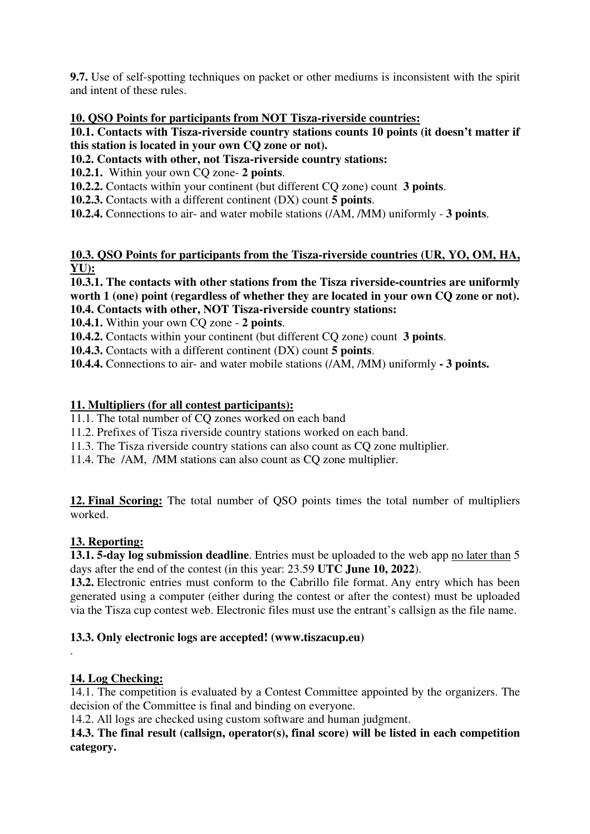**9.7.** Use of self-spotting techniques on packet or other mediums is inconsistent with the spirit and intent of these rules.

## **10. QSO Points for participants from NOT Tisza-riverside countries:**

**10.1. Contacts with Tisza-riverside country stations counts 10 points (it doesn't matter if this station is located in your own CQ zone or not).** 

**10.2. Contacts with other, not Tisza-riverside country stations:** 

**10.2.1.** Within your own CQ zone- **2 points**.

**10.2.2.** Contacts within your continent (but different CQ zone) count **3 points**.

**10.2.3.** Contacts with a different continent (DX) count **5 points**.

**10.2.4.** Connections to air- and water mobile stations (/AM, /MM) uniformly - **3 points**.

## **10.3. QSO Points for participants from the Tisza-riverside countries (UR, YO, OM, HA, YU):**

**10.3.1. The contacts with other stations from the Tisza riverside-countries are uniformly worth 1 (one) point (regardless of whether they are located in your own CQ zone or not). 10.4. Contacts with other, NOT Tisza-riverside country stations:** 

**10.4.1.** Within your own CQ zone - **2 points**.

**10.4.2.** Contacts within your continent (but different CQ zone) count **3 points**.

**10.4.3.** Contacts with a different continent (DX) count **5 points**.

**10.4.4.** Connections to air- and water mobile stations (/AM, /MM) uniformly **- 3 points.** 

## **11. Multipliers (for all contest participants):**

11.1. The total number of CQ zones worked on each band

11.2. Prefixes of Tisza riverside country stations worked on each band.

11.3. The Tisza riverside country stations can also count as CQ zone multiplier.

11.4. The /AM, /MM stations can also count as CQ zone multiplier.

**12. Final Scoring:** The total number of QSO points times the total number of multipliers worked.

## **13. Reporting:**

**13.1. 5-day log submission deadline**. Entries must be uploaded to the web app no later than 5 days after the end of the contest (in this year: 23.59 **UTC June 10, 2022**).

**13.2.** Electronic entries must conform to the Cabrillo file format. Any entry which has been generated using a computer (either during the contest or after the contest) must be uploaded via the Tisza cup contest web. Electronic files must use the entrant's callsign as the file name.

## **13.3. Only electronic logs are accepted! (www.tiszacup.eu)**

## **14. Log Checking:**

.

14.1. The competition is evaluated by a Contest Committee appointed by the organizers. The decision of the Committee is final and binding on everyone.

14.2. All logs are checked using custom software and human judgment.

## **14.3. The final result (callsign, operator(s), final score) will be listed in each competition category.**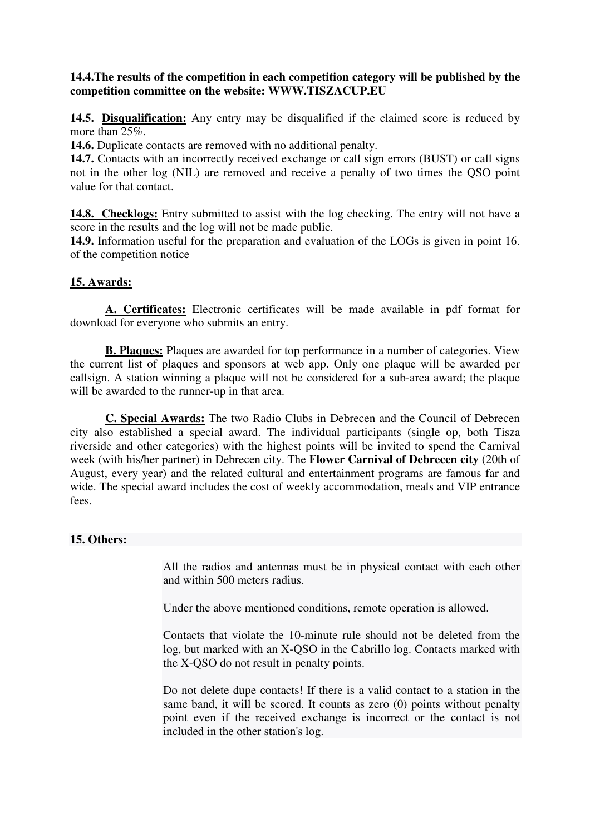## **14.4.The results of the competition in each competition category will be published by the competition committee on the website: WWW.TISZACUP.EU**

**14.5. Disqualification:** Any entry may be disqualified if the claimed score is reduced by more than 25%

**14.6.** Duplicate contacts are removed with no additional penalty.

**14.7.** Contacts with an incorrectly received exchange or call sign errors (BUST) or call signs not in the other log (NIL) are removed and receive a penalty of two times the QSO point value for that contact.

**14.8. Checklogs:** Entry submitted to assist with the log checking. The entry will not have a score in the results and the log will not be made public.

**14.9.** Information useful for the preparation and evaluation of the LOGs is given in point 16. of the competition notice

## **15. Awards:**

**A. Certificates:** Electronic certificates will be made available in pdf format for download for everyone who submits an entry.

**B. Plaques:** Plaques are awarded for top performance in a number of categories. View the current list of plaques and sponsors at web app. Only one plaque will be awarded per callsign. A station winning a plaque will not be considered for a sub-area award; the plaque will be awarded to the runner-up in that area.

**C. Special Awards:** The two Radio Clubs in Debrecen and the Council of Debrecen city also established a special award. The individual participants (single op, both Tisza riverside and other categories) with the highest points will be invited to spend the Carnival week (with his/her partner) in Debrecen city. The **Flower Carnival of Debrecen city** (20th of August, every year) and the related cultural and entertainment programs are famous far and wide. The special award includes the cost of weekly accommodation, meals and VIP entrance fees.

#### **15. Others:**

All the radios and antennas must be in physical contact with each other and within 500 meters radius.

Under the above mentioned conditions, remote operation is allowed.

Contacts that violate the 10-minute rule should not be deleted from the log, but marked with an X-QSO in the Cabrillo log. Contacts marked with the X-QSO do not result in penalty points.

Do not delete dupe contacts! If there is a valid contact to a station in the same band, it will be scored. It counts as zero (0) points without penalty point even if the received exchange is incorrect or the contact is not included in the other station's log.